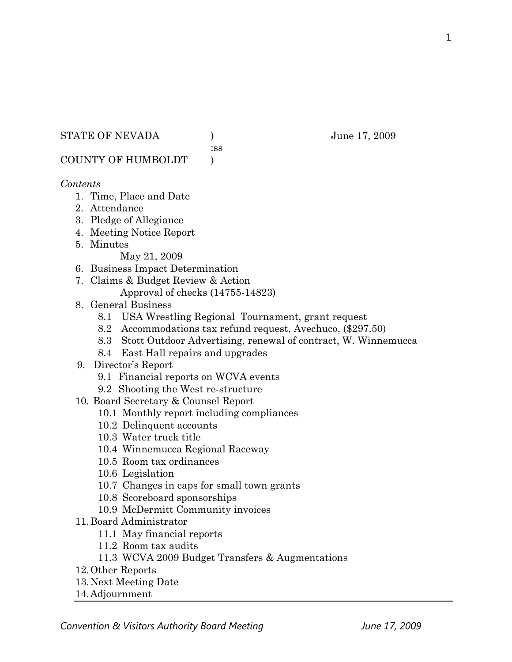## STATE OF NEVADA ) June 17, 2009

:ss

COUNTY OF HUMBOLDT )

## *Contents*

- 1. Time, Place and Date
- 2. Attendance
- 3. Pledge of Allegiance
- 4. Meeting Notice Report
- 5. Minutes

May 21, 2009

- 6. Business Impact Determination
- 7. Claims & Budget Review & Action
	- Approval of checks (14755-14823)
- 8. General Business
	- 8.1 USA Wrestling Regional Tournament, grant request
	- 8.2 Accommodations tax refund request, Avechuco, (\$297.50)
	- 8.3 Stott Outdoor Advertising, renewal of contract, W. Winnemucca
	- 8.4 East Hall repairs and upgrades
- 9. Director's Report
	- 9.1 Financial reports on WCVA events
	- 9.2 Shooting the West re-structure
- 10. Board Secretary & Counsel Report
	- 10.1 Monthly report including compliances
	- 10.2 Delinquent accounts
	- 10.3 Water truck title
	- 10.4 Winnemucca Regional Raceway
	- 10.5 Room tax ordinances
	- 10.6 Legislation
	- 10.7 Changes in caps for small town grants
	- 10.8 Scoreboard sponsorships
	- 10.9 McDermitt Community invoices
- 11.Board Administrator
	- 11.1 May financial reports
	- 11.2 Room tax audits
	- 11.3 WCVA 2009 Budget Transfers & Augmentations
- 12.Other Reports
- 13.Next Meeting Date
- 14.Adjournment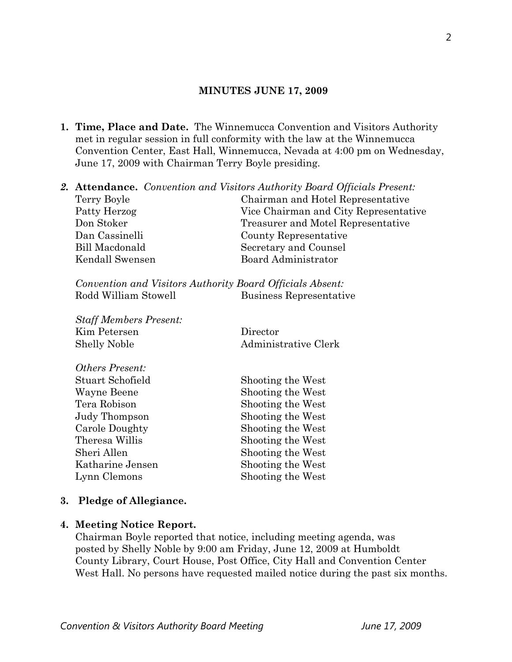## **MINUTES JUNE 17, 2009**

- **1. Time, Place and Date.** The Winnemucca Convention and Visitors Authority met in regular session in full conformity with the law at the Winnemucca Convention Center, East Hall, Winnemucca, Nevada at 4:00 pm on Wednesday, June 17, 2009 with Chairman Terry Boyle presiding.
- *2.* **Attendance.** *Convention and Visitors Authority Board Officials Present:*  Terry Boyle Chairman and Hotel Representative Patty Herzog Vice Chairman and City Representative Don Stoker Treasurer and Motel Representative Dan Cassinelli County Representative Bill Macdonald Secretary and Counsel Kendall Swensen Board Administrator *Convention and Visitors Authority Board Officials Absent:*  Rodd William Stowell Business Representative *Staff Members Present:*  Kim Petersen Director Shelly Noble Administrative Clerk *Others Present:*  Stuart Schofield Shooting the West Wayne Beene Shooting the West Tera Robison Shooting the West Judy Thompson Shooting the West
	- Carole Doughty Shooting the West Theresa Willis Shooting the West Sheri Allen Shooting the West Katharine Jensen Shooting the West Lynn Clemons Shooting the West

## **3. Pledge of Allegiance.**

#### **4. Meeting Notice Report.**

Chairman Boyle reported that notice, including meeting agenda, was posted by Shelly Noble by 9:00 am Friday, June 12, 2009 at Humboldt County Library, Court House, Post Office, City Hall and Convention Center West Hall. No persons have requested mailed notice during the past six months.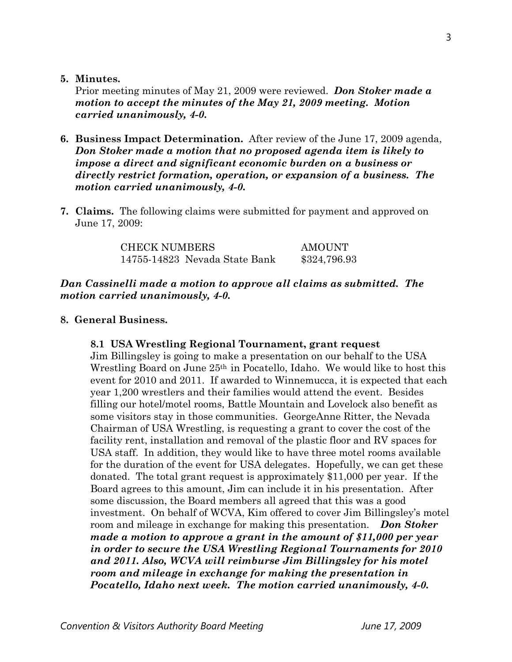**5. Minutes.** 

Prior meeting minutes of May 21, 2009 were reviewed. *Don Stoker made a motion to accept the minutes of the May 21, 2009 meeting. Motion carried unanimously, 4-0.* 

- **6. Business Impact Determination.** After review of the June 17, 2009 agenda, *Don Stoker made a motion that no proposed agenda item is likely to impose a direct and significant economic burden on a business or directly restrict formation, operation, or expansion of a business. The motion carried unanimously, 4-0.*
- **7. Claims.** The following claims were submitted for payment and approved on June 17, 2009:

| <b>CHECK NUMBERS</b>          | AMOUNT       |
|-------------------------------|--------------|
| 14755-14823 Nevada State Bank | \$324,796.93 |

# *Dan Cassinelli made a motion to approve all claims as submitted. The motion carried unanimously, 4-0.*

# **8. General Business.**

# **8.1 USA Wrestling Regional Tournament, grant request**

Jim Billingsley is going to make a presentation on our behalf to the USA Wrestling Board on June 25<sup>th</sup> in Pocatello, Idaho. We would like to host this event for 2010 and 2011. If awarded to Winnemucca, it is expected that each year 1,200 wrestlers and their families would attend the event. Besides filling our hotel/motel rooms, Battle Mountain and Lovelock also benefit as some visitors stay in those communities. GeorgeAnne Ritter, the Nevada Chairman of USA Wrestling, is requesting a grant to cover the cost of the facility rent, installation and removal of the plastic floor and RV spaces for USA staff. In addition, they would like to have three motel rooms available for the duration of the event for USA delegates. Hopefully, we can get these donated. The total grant request is approximately \$11,000 per year. If the Board agrees to this amount, Jim can include it in his presentation. After some discussion, the Board members all agreed that this was a good investment. On behalf of WCVA, Kim offered to cover Jim Billingsley's motel room and mileage in exchange for making this presentation. *Don Stoker made a motion to approve a grant in the amount of \$11,000 per year in order to secure the USA Wrestling Regional Tournaments for 2010 and 2011. Also, WCVA will reimburse Jim Billingsley for his motel room and mileage in exchange for making the presentation in Pocatello, Idaho next week. The motion carried unanimously, 4-0.*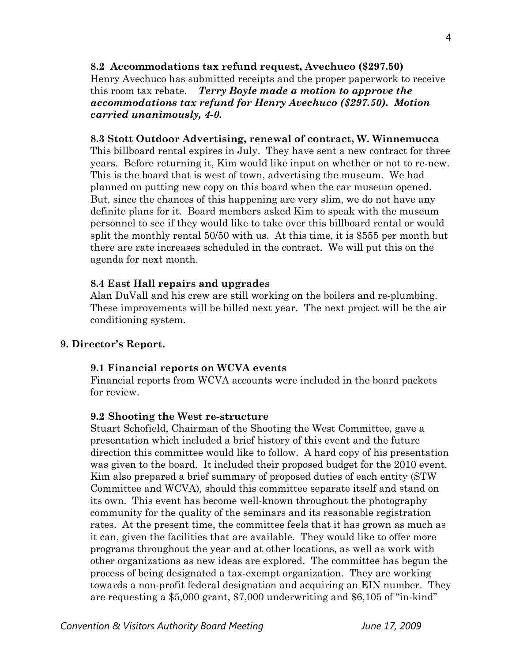**8.2 Accommodations tax refund request, Avechuco (\$297.50)**  Henry Avechuco has submitted receipts and the proper paperwork to receive this room tax rebate. *Terry Boyle made a motion to approve the accommodations tax refund for Henry Avechuco (\$297.50). Motion carried unanimously, 4-0.*

## **8.3 Stott Outdoor Advertising, renewal of contract, W. Winnemucca**

This billboard rental expires in July. They have sent a new contract for three years. Before returning it, Kim would like input on whether or not to re-new. This is the board that is west of town, advertising the museum. We had planned on putting new copy on this board when the car museum opened. But, since the chances of this happening are very slim, we do not have any definite plans for it. Board members asked Kim to speak with the museum personnel to see if they would like to take over this billboard rental or would split the monthly rental 50/50 with us. At this time, it is \$555 per month but there are rate increases scheduled in the contract. We will put this on the agenda for next month.

## **8.4 East Hall repairs and upgrades**

Alan DuVall and his crew are still working on the boilers and re-plumbing. These improvements will be billed next year. The next project will be the air conditioning system.

## **9. Director's Report.**

#### **9.1 Financial reports on WCVA events**

Financial reports from WCVA accounts were included in the board packets for review.

#### **9.2 Shooting the West re-structure**

Stuart Schofield, Chairman of the Shooting the West Committee, gave a presentation which included a brief history of this event and the future direction this committee would like to follow. A hard copy of his presentation was given to the board. It included their proposed budget for the 2010 event. Kim also prepared a brief summary of proposed duties of each entity (STW Committee and WCVA), should this committee separate itself and stand on its own. This event has become well-known throughout the photography community for the quality of the seminars and its reasonable registration rates. At the present time, the committee feels that it has grown as much as it can, given the facilities that are available. They would like to offer more programs throughout the year and at other locations, as well as work with other organizations as new ideas are explored. The committee has begun the process of being designated a tax-exempt organization. They are working towards a non-profit federal designation and acquiring an EIN number. They are requesting a \$5,000 grant, \$7,000 underwriting and \$6,105 of "in-kind"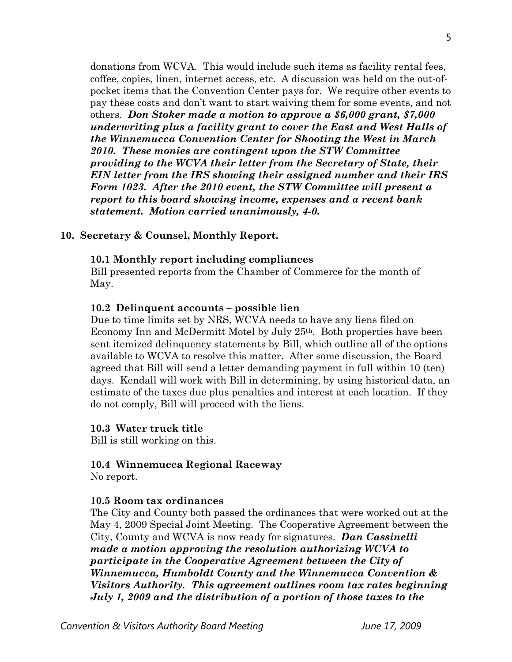donations from WCVA. This would include such items as facility rental fees, coffee, copies, linen, internet access, etc. A discussion was held on the out-ofpocket items that the Convention Center pays for. We require other events to pay these costs and don't want to start waiving them for some events, and not others. *Don Stoker made a motion to approve a \$6,000 grant, \$7,000 underwriting plus a facility grant to cover the East and West Halls of the Winnemucca Convention Center for Shooting the West in March 2010. These monies are contingent upon the STW Committee providing to the WCVA their letter from the Secretary of State, their EIN letter from the IRS showing their assigned number and their IRS Form 1023. After the 2010 event, the STW Committee will present a report to this board showing income, expenses and a recent bank statement. Motion carried unanimously, 4-0.* 

## **10. Secretary & Counsel, Monthly Report.**

## **10.1 Monthly report including compliances**

Bill presented reports from the Chamber of Commerce for the month of May.

## **10.2 Delinquent accounts – possible lien**

Due to time limits set by NRS, WCVA needs to have any liens filed on Economy Inn and McDermitt Motel by July 25th. Both properties have been sent itemized delinquency statements by Bill, which outline all of the options available to WCVA to resolve this matter. After some discussion, the Board agreed that Bill will send a letter demanding payment in full within 10 (ten) days. Kendall will work with Bill in determining, by using historical data, an estimate of the taxes due plus penalties and interest at each location. If they do not comply, Bill will proceed with the liens.

#### **10.3 Water truck title**

Bill is still working on this.

## **10.4 Winnemucca Regional Raceway**

No report.

## **10.5 Room tax ordinances**

The City and County both passed the ordinances that were worked out at the May 4, 2009 Special Joint Meeting. The Cooperative Agreement between the City, County and WCVA is now ready for signatures. *Dan Cassinelli made a motion approving the resolution authorizing WCVA to participate in the Cooperative Agreement between the City of Winnemucca, Humboldt County and the Winnemucca Convention & Visitors Authority. This agreement outlines room tax rates beginning July 1, 2009 and the distribution of a portion of those taxes to the*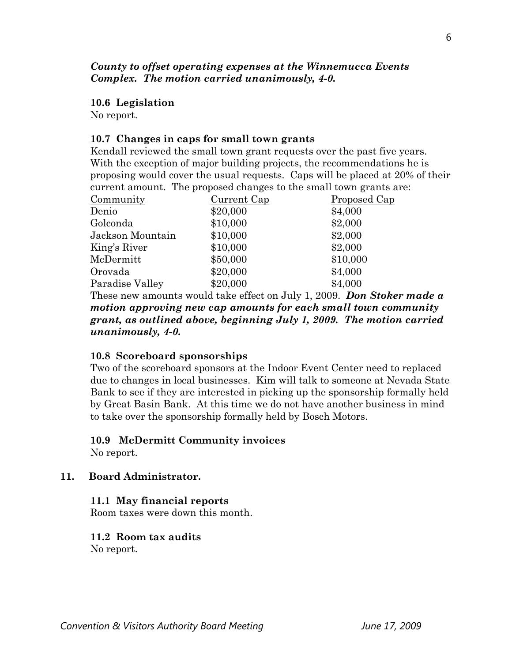# *County to offset operating expenses at the Winnemucca Events Complex. The motion carried unanimously, 4-0.*

#### **10.6 Legislation**

No report.

## **10.7 Changes in caps for small town grants**

Kendall reviewed the small town grant requests over the past five years. With the exception of major building projects, the recommendations he is proposing would cover the usual requests. Caps will be placed at 20% of their current amount. The proposed changes to the small town grants are:

| Community        | Current Cap | <u>Proposed Cap</u> |
|------------------|-------------|---------------------|
| Denio            | \$20,000    | \$4,000             |
| Golconda         | \$10,000    | \$2,000             |
| Jackson Mountain | \$10,000    | \$2,000             |
| King's River     | \$10,000    | \$2,000             |
| McDermitt        | \$50,000    | \$10,000            |
| Orovada          | \$20,000    | \$4,000             |
| Paradise Valley  | \$20,000    | \$4,000             |

 These new amounts would take effect on July 1, 2009. *Don Stoker made a motion approving new cap amounts for each small town community grant, as outlined above, beginning July 1, 2009. The motion carried unanimously, 4-0.* 

## **10.8 Scoreboard sponsorships**

Two of the scoreboard sponsors at the Indoor Event Center need to replaced due to changes in local businesses. Kim will talk to someone at Nevada State Bank to see if they are interested in picking up the sponsorship formally held by Great Basin Bank. At this time we do not have another business in mind to take over the sponsorship formally held by Bosch Motors.

## **10.9 McDermitt Community invoices**

No report.

## **11. Board Administrator.**

## **11.1 May financial reports**

Room taxes were down this month.

# **11.2 Room tax audits**

No report.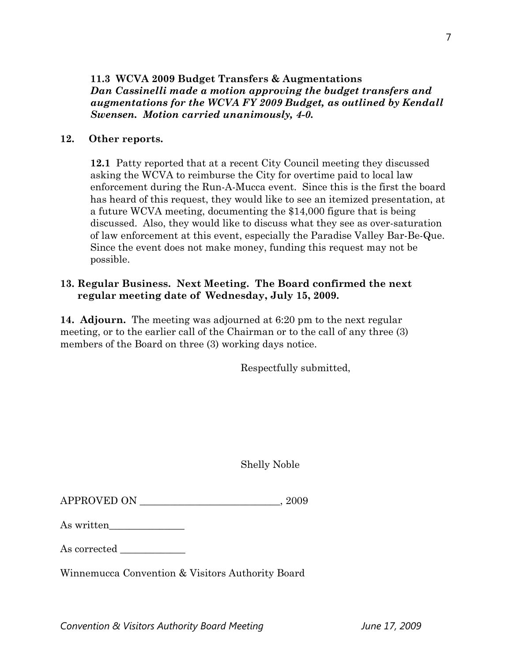# **12. Other reports.**

 **12.1** Patty reported that at a recent City Council meeting they discussed asking the WCVA to reimburse the City for overtime paid to local law enforcement during the Run-A-Mucca event. Since this is the first the board has heard of this request, they would like to see an itemized presentation, at a future WCVA meeting, documenting the \$14,000 figure that is being discussed. Also, they would like to discuss what they see as over-saturation of law enforcement at this event, especially the Paradise Valley Bar-Be-Que. Since the event does not make money, funding this request may not be possible.

# **13. Regular Business. Next Meeting. The Board confirmed the next regular meeting date of Wednesday, July 15, 2009.**

**14. Adjourn.** The meeting was adjourned at 6:20 pm to the next regular meeting, or to the earlier call of the Chairman or to the call of any three (3) members of the Board on three (3) working days notice.

Respectfully submitted,

Shelly Noble

| <b>APPROVED ON</b> | 2009 |
|--------------------|------|
|--------------------|------|

| As written |  |
|------------|--|
|------------|--|

As corrected

Winnemucca Convention & Visitors Authority Board